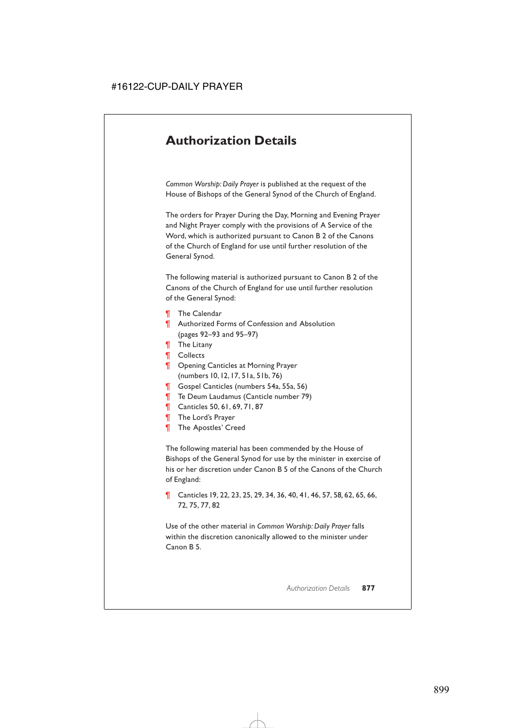## **Authorization Details**

*Common Worship: Daily Prayer* is published at the request of the House of Bishops of the General Synod of the Church of England.

The orders for Prayer During the Day, Morning and Evening Prayer and Night Prayer comply with the provisions of A Service of the Word, which is authorized pursuant to Canon B 2 of the Canons of the Church of England for use until further resolution of the General Synod.

The following material is authorized pursuant to Canon B 2 of the Canons of the Church of England for use until further resolution of the General Synod:

- ¶ The Calendar
- ¶ Authorized Forms of Confession and Absolution (pages 92–93 and 95–97)
- ¶ The Litany
- ¶ Collects
- **T** Opening Canticles at Morning Prayer (numbers 10,12,17, 51a, 51b, 76)
- ¶ Gospel Canticles (numbers 54a, 55a, 56)
- ¶ Te Deum Laudamus (Canticle number 79)
- ¶ Canticles 50, 61, 69, 71, 87
- **The Lord's Prayer**
- **The Apostles' Creed**

The following material has been commended by the House of Bishops of the General Synod for use by the minister in exercise of his or her discretion under Canon B 5 of the Canons of the Church of England:

¶ Canticles 19, 22, 23, 25, 29, 34, 36, 40, 41, 46, 57, 58*,* 62, 65, 66, 72, 75, 77, 82

Use of the other material in *Common Worship: Daily Prayer* falls within the discretion canonically allowed to the minister under Canon B 5.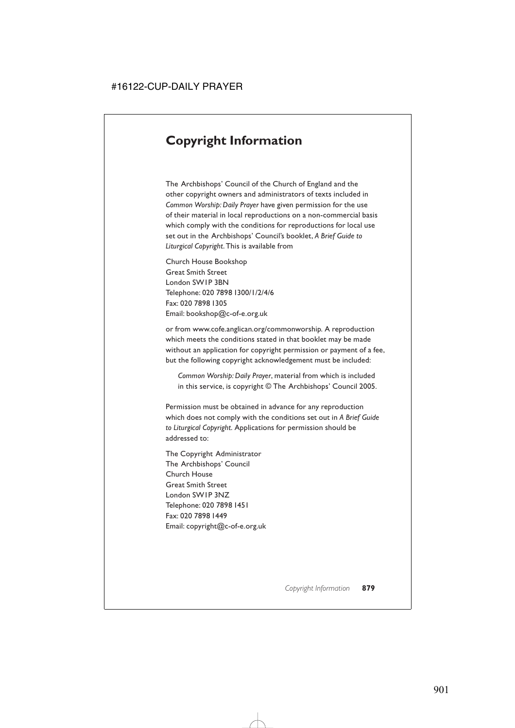# **Copyright Information**

The Archbishops' Council of the Church of England and the other copyright owners and administrators of texts included in *Common Worship: Daily Prayer* have given permission for the use of their material in local reproductions on a non-commercial basis which comply with the conditions for reproductions for local use set out in the Archbishops' Council's booklet, *A Brief Guide to Liturgical Copyright*. This is available from

Church House Bookshop Great Smith Street London SW1P 3BN Telephone: 020 7898 1300/1/2/4/6 Fax: 020 7898 1305 Email: bookshop@c-of-e.org.uk

or from www.cofe.anglican.org/commonworship. A reproduction which meets the conditions stated in that booklet may be made without an application for copyright permission or payment of a fee, but the following copyright acknowledgement must be included:

*Common Worship: Daily Prayer*, material from which is included in this service, is copyright © The Archbishops' Council 2005.

Permission must be obtained in advance for any reproduction which does not comply with the conditions set out in *A Brief Guide to Liturgical Copyright*. Applications for permission should be addressed to:

The Copyright Administrator The Archbishops' Council Church House Great Smith Street London SW1P 3NZ Telephone: 020 7898 1451 Fax: 020 7898 1449 Email: copyright@c-of-e.org.uk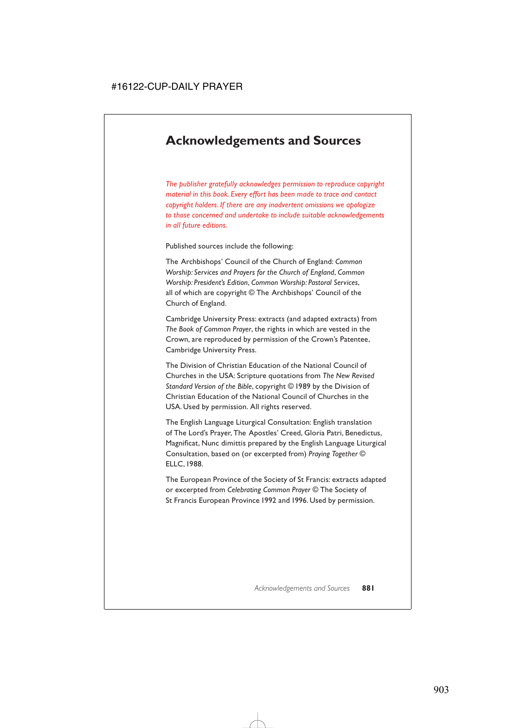### **Acknowledgements and Sources**

*The publisher gratefully acknowledges permission to reproduce copyright material in this book. Every effort has been made to trace and contact copyright holders. If there are any inadvertent omissions we apologize to those concerned and undertake to include suitable acknowledgements in all future editions.*

Published sources include the following:

The Archbishops' Council of the Church of England: *Common Worship: Services and Prayers for the Church of England*, *Common Worship: President's Edition*, *Common Worship: Pastoral Services*, all of which are copyright © The Archbishops' Council of the Church of England.

Cambridge University Press: extracts (and adapted extracts) from *The Book of Common Prayer*, the rights in which are vested in the Crown, are reproduced by permission of the Crown's Patentee, Cambridge University Press.

The Division of Christian Education of the National Council of Churches in the USA: Scripture quotations from *The New Revised Standard Version of the Bible*, copyright © 1989 by the Division of Christian Education of the National Council of Churches in the USA. Used by permission. All rights reserved.

The English Language Liturgical Consultation: English translation of The Lord's Prayer, The Apostles' Creed, Gloria Patri, Benedictus, Magnificat, Nunc dimittis prepared by the English Language Liturgical Consultation, based on (or excerpted from) *Praying Together* © ELLC,1988.

The European Province of the Society of St Francis: extracts adapted or excerpted from *Celebrating Common Prayer* © The Society of St Francis European Province 1992 and 1996. Used by permission.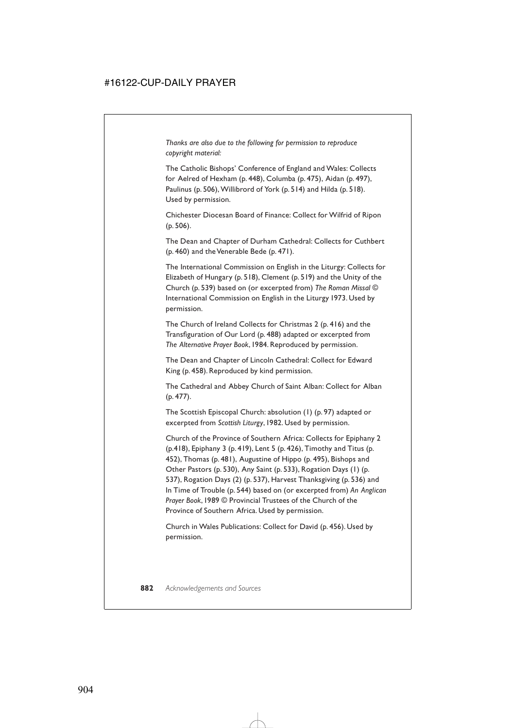*Thanks are also due to the following for permission to reproduce copyright material:*

The Catholic Bishops' Conference of England and Wales: Collects for Aelred of Hexham (p. 448), Columba (p. 475), Aidan (p. 497), Paulinus (p. 506), Willibrord of York (p. 514) and Hilda (p. 518). Used by permission.

Chichester Diocesan Board of Finance: Collect for Wilfrid of Ripon (p. 506).

The Dean and Chapter of Durham Cathedral: Collects for Cuthbert (p. 460) and the Venerable Bede (p. 471).

The International Commission on English in the Liturgy: Collects for Elizabeth of Hungary (p. 518), Clement (p. 519) and the Unity of the Church (p. 539) based on (or excerpted from) *The Roman Missal* © International Commission on English in the Liturgy 1973. Used by permission.

The Church of Ireland Collects for Christmas 2 (p. 416) and the Transfiguration of Our Lord (p. 488) adapted or excerpted from *The Alternative Prayer Book*,1984. Reproduced by permission.

The Dean and Chapter of Lincoln Cathedral: Collect for Edward King (p. 458). Reproduced by kind permission.

The Cathedral and Abbey Church of Saint Alban: Collect for Alban (p. 477).

The Scottish Episcopal Church: absolution (1) (p. 97) adapted or excerpted from *Scottish Liturgy*,1982. Used by permission.

Church of the Province of Southern Africa: Collects for Epiphany 2 (p.418), Epiphany 3 (p. 419), Lent 5 (p. 426), Timothy and Titus (p. 452), Thomas (p. 481), Augustine of Hippo (p. 495), Bishops and Other Pastors (p. 530), Any Saint (p. 533), Rogation Days (1) (p. 537), Rogation Days (2) (p. 537), Harvest Thanksgiving (p. 536) and In Time of Trouble (p. 544) based on (or excerpted from) *An Anglican Prayer Book*,1989 © Provincial Trustees of the Church of the Province of Southern Africa. Used by permission.

Church in Wales Publications: Collect for David (p. 456). Used by permission.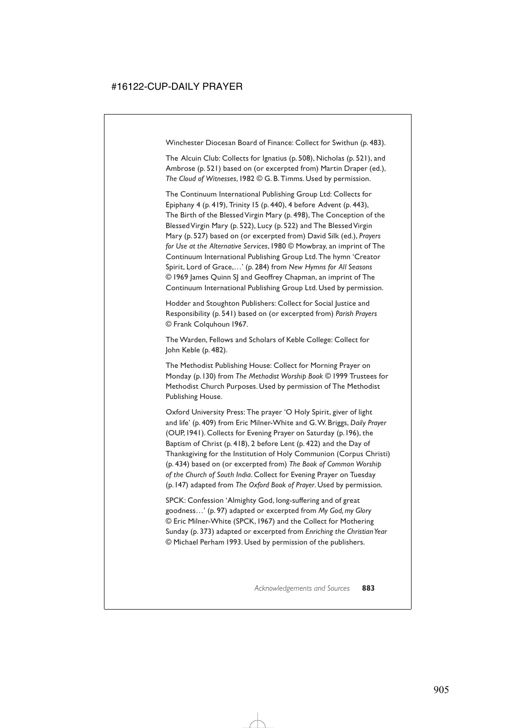Winchester Diocesan Board of Finance: Collect for Swithun (p. 483).

The Alcuin Club: Collects for Ignatius (p. 508), Nicholas (p. 521), and Ambrose (p. 521) based on (or excerpted from) Martin Draper (ed.), *The Cloud of Witnesses*,1982 © G. B. Timms. Used by permission.

The Continuum International Publishing Group Ltd: Collects for Epiphany 4 (p. 419), Trinity 15 (p. 440), 4 before Advent (p. 443), The Birth of the Blessed Virgin Mary (p. 498), The Conception of the Blessed Virgin Mary (p. 522), Lucy (p. 522) and The Blessed Virgin Mary (p. 527) based on (or excerpted from) David Silk (ed.), *Prayers for Use at the Alternative Services*,1980 © Mowbray, an imprint of The Continuum International Publishing Group Ltd. The hymn 'Creator Spirit, Lord of Grace,…' (p. 284) from *New Hymns for All Seasons* © 1969 James Quinn SJ and Geoffrey Chapman, an imprint of The Continuum International Publishing Group Ltd. Used by permission.

Hodder and Stoughton Publishers: Collect for Social Justice and Responsibility (p. 541) based on (or excerpted from) *Parish Prayers* © Frank Colquhoun 1967.

The Warden, Fellows and Scholars of Keble College: Collect for John Keble (p. 482).

The Methodist Publishing House: Collect for Morning Prayer on Monday (p.130) from *The Methodist Worship Book* © 1999 Trustees for Methodist Church Purposes. Used by permission of The Methodist Publishing House.

Oxford University Press: The prayer 'O Holy Spirit, giver of light and life' (p. 409) from Eric Milner-White and G.W. Briggs, *Daily Prayer* (OUP,1941). Collects for Evening Prayer on Saturday (p.196), the Baptism of Christ (p. 418), 2 before Lent (p. 422) and the Day of Thanksgiving for the Institution of Holy Communion (Corpus Christi) (p. 434) based on (or excerpted from) *The Book of Common Worship of the Church of South India*. Collect for Evening Prayer on Tuesday (p.147) adapted from *The Oxford Book of Prayer*. Used by permission.

SPCK: Confession 'Almighty God, long-suffering and of great goodness…' (p. 97) adapted or excerpted from *My God, my Glory*  © Eric Milner-White (SPCK,1967) and the Collect for Mothering Sunday (p. 373) adapted or excerpted from *Enriching the Christian Year* © Michael Perham 1993. Used by permission of the publishers.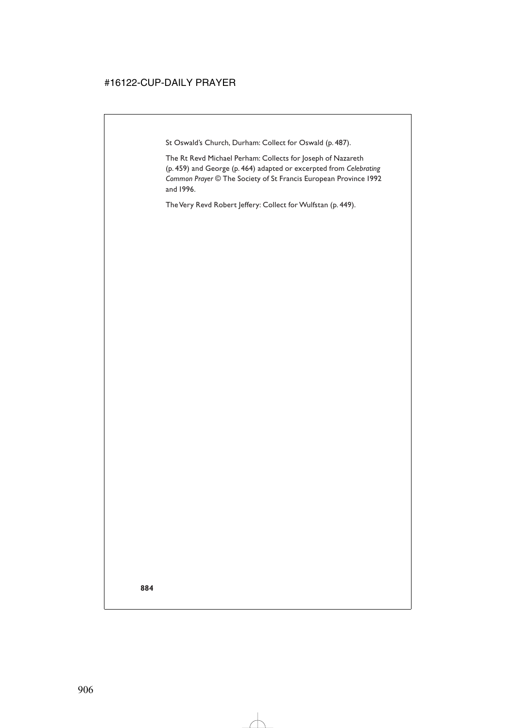St Oswald's Church, Durham: Collect for Oswald (p. 487).

The Rt Revd Michael Perham: Collects for Joseph of Nazareth (p. 459) and George (p. 464) adapted or excerpted from *Celebrating Common Prayer* © The Society of St Francis European Province 1992 and 1996.

The Very Revd Robert Jeffery: Collect for Wulfstan (p. 449).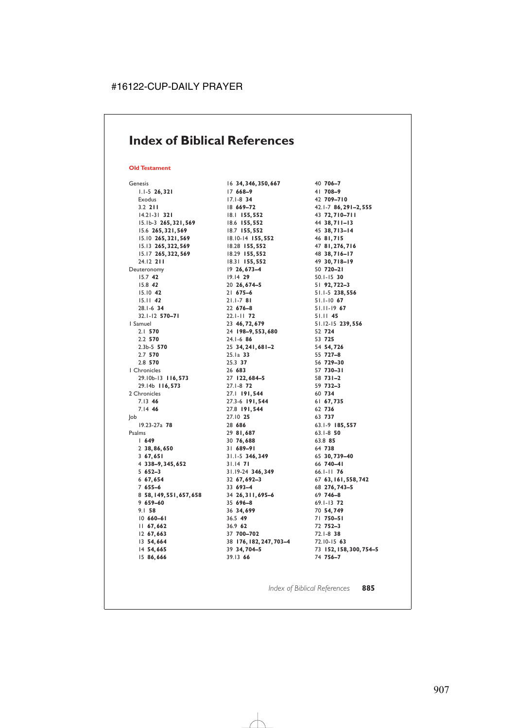### **Index of Biblical References**

#### **Old Testament**

Genesis 1.1-5 **26, 321** Exodus 3.2 **211** 14.21-31 **321** 15.1b-3 **265, 321, 569** 15.6 **265, 321, 569** 15.10 **265, 321, 569** 15.13 **265, 322, 569** 15.17 **265, 322, 569** 24.12 **211** Deuteronomy 15.7 **42** 15.8 *42* 15.10 **42** 15.11 *42* 28.1-6 **34** 32.1-12 **570–71** 1 Samuel 2.1 **570** 2.2 **570** 2.3b-5 **570** 2.7 **570** 2.8 **570** 1 Chronicles 29.10b-13 **116, 573** 29.14b **116, 573** 2 Chronicles 7.13 **46** 7.14 **46** Job 19.23-27a **78** Psalms 1 **649** 2 **38, 86, 650** 3 **67, 651** 4 **338–9, 345, 652** 5 **652–3** 6 **67, 654** 7 **655–6** 8 **58, 149, 551, 657, 658** 9 **659–60** 9.1 **58** 10 **660–61** 11 **67, 662** 12 **67, 663** 13 **54, 664** 14 **54, 665** 15 **86, 666** 16 **34, 346, 350, 667** 17 **668–9** 17.1-8 **34** 18 **669–72** 18.1 **155, 552** 18.6 **155, 552** 18.7 **155, 552** 18.10-14 **155, 552** 18.28 **155, 552** 18.29 **155, 552** 18.31 **155, 552** 19 **26, 673–4** 19.14 **29** 20 **26, 674–5** 21 **675–6** 21.1-7 **81** 22 **676–8** 22.1-11 **72** 23 **46, 72, 679** 24 **198–9, 553, 680** 24.1-6 **86** 25 **34, 241, 681–2** 25.1a **33** 25.3 **37** 26 **683** 27 **122, 684–5** 27.1-8 **72** 27.1 **191, 544** 27.3-6 **191, 544** 27.8 **191, 544** 27.10 **25** 28 **686** 29 **81, 687** 30 **76, 688** 31 **689–91** 31.1-5 **346, 349** 31.14 **71** 31.19-24 **346, 349** 32 **67, 692–3** 33 **693–4** 34 **26, 311, 695–6** 35 **696–8** 36 **34, 699** 36.5 **49** 36.9 **62** 37 **700–702** 38 **176, 182, 247, 703–4** 39 **34, 704–5** 39.13 **66** 40 **706–7** 41 **708–9** 42 **709–710** 42.1-7 **86, 291–2, 555** 43 **72, 710–711** 44 **38, 711–13** 45 **38, 713–14** 46 **81, 715** 47 **81, 276, 716** 48 **38, 716–17** 49 **30, 718–19** 50 **720–21** 50.1-15 **30** 51 **92, 722–3** 51.1-5 **238, 556** 51.1-10 **67** 51.11-19 **67** 51.11 **45** 51.12-15 **239, 556** 52 **724** 53 **725** 54 **54, 726** 55 **727–8** 56 **729–30** 57 **730–31** 58 **731–2** 59 **732–3** 60 **734** 61 **67, 735** 62 **736** 63 **737** 63.1-9 **185, 557** 63.1-8 **50** 63.8 **85** 64 **738** 65 **30, 739–40** 66 **740–41** 66.1-11 **76** 67 **63, 161, 558, 742** 68 **276, 743–5** 69 **746–8** 69.1-13 **72** 70 **54, 749** 71 **750–51** 72 **752–3** 72.1-8 **38** 72.10-15 **63** 73 **152, 158, 300, 754–5** 74 **756–7**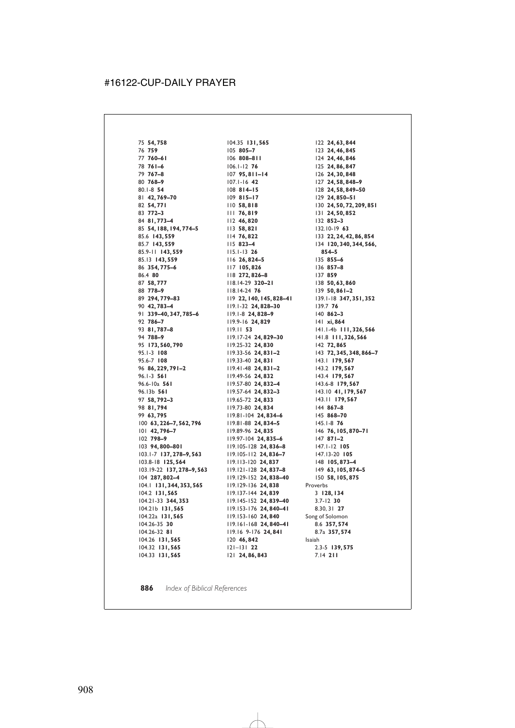75 **54, 758** 76 **759** 77 **760–61** 78 **761–6** 79 **767–8** 80 **768–9** 80.1-8 **54** 81 **42, 769–70** 82 **54, 771** 83 **772–3** 84 **81, 773–4** 85 **54, 188, 194, 774–5** 85.6 **143, 559** 85.7 **143, 559** 85.9-11 **143, 559** 85.13 **143, 559** 86 **354, 775–6** 86.4 **80** 87 **58, 777** 88 **778–9** 89 **294, 779–83** 90 **42, 783–4** 91 **339–40, 347, 785–6** 92 **786–7** 93 **81, 787–8** 94 **788–9** 95 **173, 560, 790** 95.1-3 **108** 95.6-7 **108** 96 **86, 229, 791–2** 96.1-3 **561** 96.6-10a **561** 96.13b **561** 97 **58, 792–3** 98 **81, 794** 99 **63, 795** 100 **63, 226–7, 562, 796** 101 **42, 796–7** 102 **798–9** 103 **94, 800–801** 103.1-7 **137, 278–9, 563** 103.8-18 **125, 564** 103.19-22 **137, 278–9, 563** 104 **287, 802–4** 104.1 **131, 344, 353, 565** 104.2 **131, 565** 104.21-33 **344, 353** 104.21b **131, 565** 104.22a **131, 565** 104.26-35 **30** 104.26-32 **81** 104.26 **131, 565** 104.32 **131, 565** 104.33 **131, 565**

104.35 **131, 565** 105 **805–7** 106 **808–811** 106.1-12 **76** 107 **95, 811–14** 107.1-16 **42** 108 **814–15** 109 **815–17** 110 **58, 818** 111 **76, 819** 112 **46, 820** 113 **58, 821** 114 **76, 822** 115 **823–4** 115.1-13 **26** 116 **26, 824–5** 117 **105, 826** 118 **272, 826–8** 118.14-29 **320–21** 118.14-24 **76** 119 **22, 140, 145, 828–41** 119.1-32 **24, 828–30** 119.1-8 **24, 828–9** 119.9-16 **24, 829** 119.11 **53** 119.17-24 **24, 829–30** 119.25-32 **24, 830** 119.33-56 **24, 831–2** 119.33-40 **24, 831** 119.41-48 **24, 831–2** 119.49-56 **24, 832** 119.57-80 **24, 832–4** 119.57-64 **24, 832–3** 119.65-72 **24, 833** 119.73-80 **24, 834** 119.81-104 **24, 834–6** 119.81-88 **24, 834–5** 119.89-96 **24, 835** 119.97-104 **24, 835–6** 119.105-128 **24, 836–8** 119.105-112 **24, 836–7** 119.113-120 **24, 837** 119.121-128 **24, 837–8** 119.129-152 **24, 838–40** 119.129-136 **24, 838** 119.137-144 **24, 839** 119.145-152 **24, 839–40** 119.153-176 **24, 840–41** 119.153-160 **24, 840** 119.161-168 **24, 840–41** 119.16 9-176 **24, 841** 120 **46, 842** 121–131 **22** 121 **24, 86, 843**

122 **24, 63, 844** 123 **24, 46, 845** 124 **24, 46, 846** 125 **24, 86, 847** 126 **24, 30, 848** 127 **24, 58, 848–9** 128 **24, 58, 849–50** 129 **24, 850–51** 130 **24, 50, 72, 209, 851** 131 **24, 50, 852** 132 **852–3** 132.10-19 **63** 133 **22, 24, 42, 86, 854** 134 **120, 340, 344, 566, 854–5** 135 **855–6** 136 **857–8** 137 **859** 138 **50, 63, 860** 139 **50, 861–2** 139.1-18 **347, 351, 352** 139.7 **76** 140 **862–3** 141 **xi, 864** 141.1-4b **111, 326, 566** 141.8 **111, 326, 566** 142 **72, 865** 143 **72, 345, 348, 866–7** 143.1 **179, 567** 143.2 **179, 567** 143.4 **179, 567** 143.6-8 **179, 567** 143.10 **41, 179, 567** 143.11 **179, 567** 144 **867–8** 145 **868–70** 145.1-8 **76** 146 **76, 105, 870–71** 147 **871–2** 147.1-12 **105** 147.13-20 **105** 148 **105, 873–4** 149 **63, 105, 874–5** 150 **58, 105, 875** Proverbs 3 **128, 134** 3.7-12 **30** 8.30, 31 **27** Song of Solomon 8.6 **357, 574** 8.7a **357, 574** Isaiah 2.3-5 **139, 575** 7.14 **211**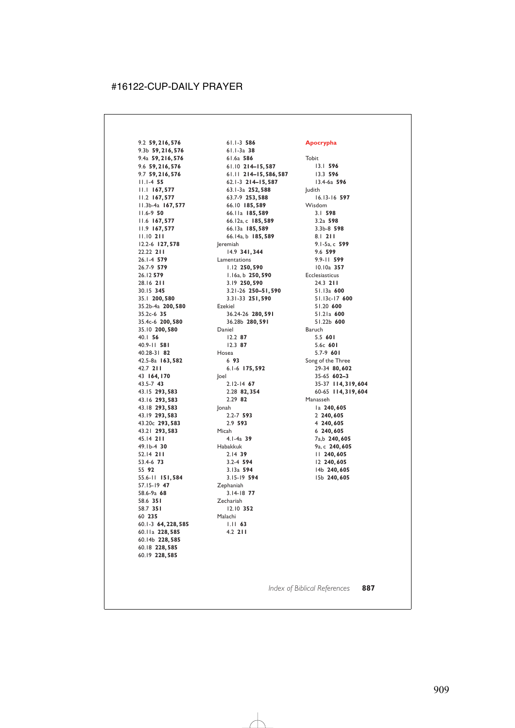9.2 **59, 216, 576** 9.3b **59, 216, 576** 9.4a **59, 216, 576** 9.6 **59, 216, 576** 9.7 **59, 216, 576** 11.1-4 **55** 11.1 **167, 577** 11.2 **167, 577** 11.3b-4a **167, 577** 11.6-9 **50** 11.6 **167, 577** 11.9 **167, 577** 11.10 **211** 12.2-6 **127, 578** 22.22 **211** 26.1-4 **579** 26.7-9 **579** 26.12 **579** 28.16 **211** 30.15 **345** 35.1 **200, 580** 35.2b-4a **200, 580** 35.2c-6 **35** 35.4c-6 **200, 580** 35.10 **200, 580** 40.1 **56** 40.9-11 **581** 40.28-31 **82** 42.5-8a **163, 582** 42.7 **211** 43 **164, 170** 43.5-7 **43** 43.15 **293, 583** 43.16 **293, 583** 43.18 **293, 583** 43.19 **293, 583** 43.20c **293, 583** 43.21 **293, 583** 45.14 **211** 49.1b-4 **30** 52.14 **211** 53.4-6 **73** 55 **92** 55.6-11 **151, 584** 57.15-19 **47** 58.6-9a **68** 58.6 **351** 58.7 **351** 60 **235** 60.1-3 **64, 228, 585** 60.11a **228, 585** 60.14b **228, 585** 60.18 **228, 585** 60.19 **228, 585**

61.1-3 **586** 61.1-3a **38** 61.6a **586** 61.10 **214–15, 587** 61.11 **214–15, 586, 587** 62.1-3 **214–15, 587** 63.1-3a **252, 588** 63.7-9 **253, 588** 66.10 **185, 589** 66.11a **185, 589** 66.12a, c **185, 589** 66.13a **185, 589** 66.14a, b **185, 589** Jeremiah 14.9 **341, 344** Lamentations 1.12 **250, 590** 1.16a, b **250, 590** 3.19 **250, 590** 3.21-26 **250–51, 590** 3.31-33 **251, 590** Ezekiel 36.24-26 **280, 591** 36.28b **280, 591** Daniel 12.2 **87** 12.3 **87** Hosea 6 **93** 6.1-6 **175, 592** Joel 2.12-14 **67** 2.28 **82, 354** 2.29 **82** Jonah 2.2-7 **593** 2.9 **593** Micah 4.1-4a **39** Habakkuk 2.14 **39** 3.2-4 **594** 3.13a **594** 3.15-19 **594** Zephaniah 3.14-18 **77** Zechariah 12.10 **352** Malachi 1.11 **63** 4.2 **211**

#### **Apocrypha**

Tobit 13.1 **596** 13.3 **596** 13.4-6a **596** Judith 16.13-16 **597** Wisdom 3.1 **598** 3.2a **598** 3.3b-8 **598** 8.1 **211** 9.1-5a, c **599** 9.6 **599** 9.9-11 **599** 10.10a **357** Ecclesiasticus 24.3 **211** 51.13a **600** 51.13c-17 **600** 51.20 **600** 51.21a **600** 51.22b **600** Baruch 5.5 **601** 5.6c **601** 5.7-9 **601** Song of the Three 29-34 **80, 602** 35-65 **602–3** 35-37 **114, 319, 604** 60-65 **114, 319, 604** Manasseh 1a **240, 605** 2 **240, 605** 4 **240, 605** 6 **240, 605** 7a,b **240, 605** 9a, c **240, 605** 11 **240, 605** 12 **240, 605** 14b **240, 605** 15b **240, 605**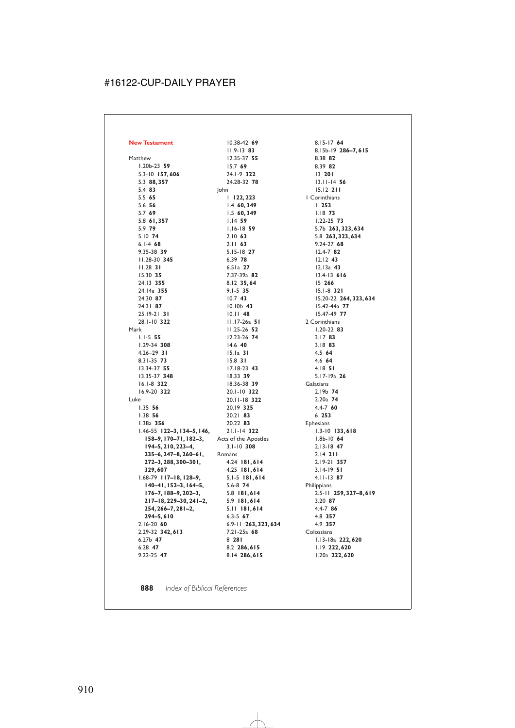**New Testament** Matthew 1.20b-23 **59** 5.3-10 **157, 606** 5.3 **88, 357** 5.4 **83** 5.5 **65** 5.6 **56** 5.7 **69** 5.8 **61, 357** 5.9 **79** 5.10 **74** 6.1-4 **68** 9.35-38 **39** 11.28-30 **345** 11.28 **31** 15.30 **35** 24.13 **355** 24.14a **355** 24.30 **87** 24.31 **87** 25.19-21 **31** 28.1-10 **322** Mark 1.1-5 **55** 1.29-34 **308** 4.26–29 **31** 8.31-35 **73** 13.34-37 **55** 13.35-37 **348** 16.1-8 **322** 16.9-20 **322** Luke 1.35 **56** 1.38 **56** 1.38a **356** 1.46-55 **122–3, 134–5, 146, 158–9, 170–71, 182–3, 194–5, 210, 223–4, 235–6, 247–8, 260–61, 272–3, 288, 300–301, 329, 607** 1.68-79 **117–18, 128–9, 140–41, 152–3, 164–5, 176–7, 188–9, 202–3, 217–18, 229–30, 241–2, 254, 266–7, 281–2, 294–5, 610** 2.16-20 **60** 2.29-32 **342, 613** 6.27b **47** 6.28 **47** 9.22-25 **47**

10.38-42 **69** 11.9-13 **83** 12.35-37 **55** 15.7 **69** 24.1-9 **322** 24.28-32 **78** John 1 **122, 223** 1.4 **60, 349** 1.5 **60, 349** 1.14 **59** 1.16-18 **59** 2.10 **63** 2.11 **63** 5.15-18 **27** 6.39 **78** 6.51a **27** 7.37-39a **82** 8.12 **35, 64** 9.1-5 **35** 10.7 **43** 10.10b **43** 10.11 **48** 11.17-26a **51** 11.25-26 **52** 12.23-26 **74** 14.6 **40** 15.1a **31** 15.8 **31** 17.18-23 **43** 18.33 **39** 18.36-38 **39** 20.1-10 **322** 20.11-18 **322** 20.19 **325** 20.21 **83** 20.22 **83** 21.1-14 **322** Acts of the Apostles 3.1-10 **308** Romans 4.24 **181, 614** 4.25 **181, 614** 5.1-5 **181, 614** 5.6-8 **74** 5.8 **181, 614** 5.9 **181, 614** 5.11 **181, 614** 6.3-5 **67** 6.9-11 **263, 323, 634** 7.21-25a **68** 8 **281** 8.2 **286, 615** 8.14 **286, 615**

8.15-17 **64** 8.15b-19 **286–7, 615** 8.38 **82** 8.39 **82** 13 **201** 13.11-14 **56** 15.12 **211** 1 Corinthians 1 **253** 1.18 **73** 1.22-25 **73** 5.7b **263, 323, 634** 5.8 **263, 323, 634** 9.24-27 **68** 12.4-7 **82** 12.12 **43** 12.13a **43** 13.4-13 **616** 15 **266** 15.1-8 **321** 15.20-22 **264, 323, 634** 15.42-44a **77** 15.47-49 **77** 2 Corinthians 1.20-22 **83** 3.17 **83** 3.18 **83** 4.5 **64** 4.6 **64** 4.18 **51** 5.17-19a **26 Galatians** 2.19b **74** 2.20a **74** 4.4-7 **60** 6 **253** Ephesians 1.3-10 **133, 618** 1.8b-10 **64** 2.13-18 **47** 2.14 **211** 2.19-21 **357** 3.14-19 **51** 4.11-13 **87 Philippians** 2.5-11 **259, 327–8, 619** 3.20 **87** 4.4-7 **86** 4.8 **357** 4.9 **357** Colossians 1.13-18a **222, 620** 1.19 **222, 620** 1.20a **222, 620**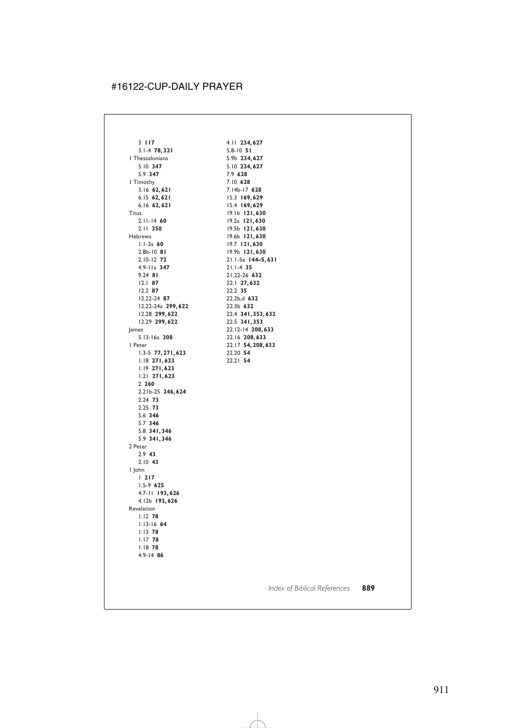3 **117** 3.1-4 **78, 321** 1 Thessalonians 5.10 **347** 5.9 **347** 1 Timothy 3.16 **62, 621** 6.15 **62, 621** 6.16 **62, 621** Titus 2.11-14 **60** 2.11 **350** Hebrews 1.1-3a **60** 2.8b-10 **81** 2.10-12 **72** 4.9-11a **347** 9.24 **81** 12.1 **87** 12.2 **87** 12.22-24 **87** 12.22-24a **299, 622** 12.28 **299, 622** 12.29 **299, 622** James 5.13-16a **308** 1 Peter 1.3-5 **77, 271, 623** 1.18 **271, 623** 1.19 **271, 623** 1.21 **271, 623** 2 **260** 2.21b-25 **246, 624** 2.24 **73** 2.25 **73** 5.6 **346** 5.7 **346** 5.8 **341, 346** 5.9 **341, 346** 2 Peter 2.9 **43** 2.10 **43** 1 John 1 **217** 1.5-9 **625** 4.7-11 **193, 626** 4.12b **193, 626** Revelation 1.12 **78** 1.13-16 **64** 1.13 **78** 1.17 **78** 1.18 **78** 4.9-14 **86**

4.11 **234, 627** 5.8-10 **51** 5.9b **234, 627** 5.10 **234, 627** 7.9 **628** 7.10 **628** 7.14b-17 **628** 15.3 **169, 629** 15.4 **169, 629** 19.1b **121, 630** 19.2a **121, 630** 19.5b **121, 630** 19.6b **121, 630** 19.7 **121, 630** 19.9b **121, 630** 21.1-5a **144–5, 631** 21.1-4 **35** 21.22-26 **632** 22.1 **27, 632** 22.2 **35** 22.2b,d **632** 22.3b **632** 22.4 **341, 353, 632** 22.5 **341, 353** 22.12-14 **208, 633** 22.16 **208, 633** 22.17 **54, 208, 633** 22.20 **54** 22.21 **54**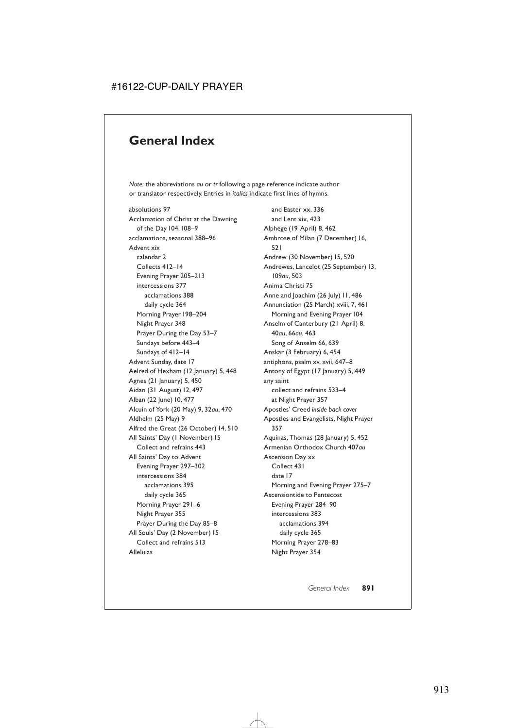#### **General Index**

*Note:* the abbreviations *au* or *tr* following a page reference indicate author or translator respectively. Entries in *italics* indicate first lines of hymns.

absolutions 97 Acclamation of Christ at the Dawning of the Day 104,108–9 acclamations, seasonal 388–96 Advent xix calendar 2 Collects 412–14 Evening Prayer 205–213 intercessions 377 acclamations 388 daily cycle 364 Morning Prayer 198–204 Night Prayer 348 Prayer During the Day 53–7 Sundays before 443–4 Sundays of 412–14 Advent Sunday, date 17 Aelred of Hexham (12 January) 5, 448 Agnes (21 January) 5, 450 Aidan (31 August) 12, 497 Alban (22 June) 10, 477 Alcuin of York (20 May) 9, 32*au*, 470 Aldhelm (25 May) 9 Alfred the Great (26 October) 14, 510 All Saints' Day (1 November) 15 Collect and refrains 443 All Saints' Day to Advent Evening Prayer 297–302 intercessions 384 acclamations 395 daily cycle 365 Morning Prayer 291–6 Night Prayer 355 Prayer During the Day 85–8 All Souls' Day (2 November) 15 Collect and refrains 513 Alleluias

and Easter xx, 336 and Lent xix, 423 Alphege (19 April) 8, 462 Ambrose of Milan (7 December) 16, 521 Andrew (30 November) 15, 520 Andrewes, Lancelot (25 September) 13, 109*au*, 503 Anima Christi 75 Anne and Joachim (26 July) 11, 486 Annunciation (25 March) xviii, 7, 461 Morning and Evening Prayer 104 Anselm of Canterbury (21 April) 8, 40*au*, 66*au*, 463 Song of Anselm 66, 639 Anskar (3 February) 6, 454 antiphons, psalm xv, xvii, 647–8 Antony of Egypt (17 January) 5, 449 any saint collect and refrains 533–4 at Night Prayer 357 Apostles' Creed *inside back cover* Apostles and Evangelists, Night Prayer 357 Aquinas, Thomas (28 January) 5, 452 Armenian Orthodox Church 407*au* Ascension Day xx Collect 431 date 17 Morning and Evening Prayer 275–7 Ascensiontide to Pentecost Evening Prayer 284–90 intercessions 383 acclamations 394 daily cycle 365 Morning Prayer 278–83 Night Prayer 354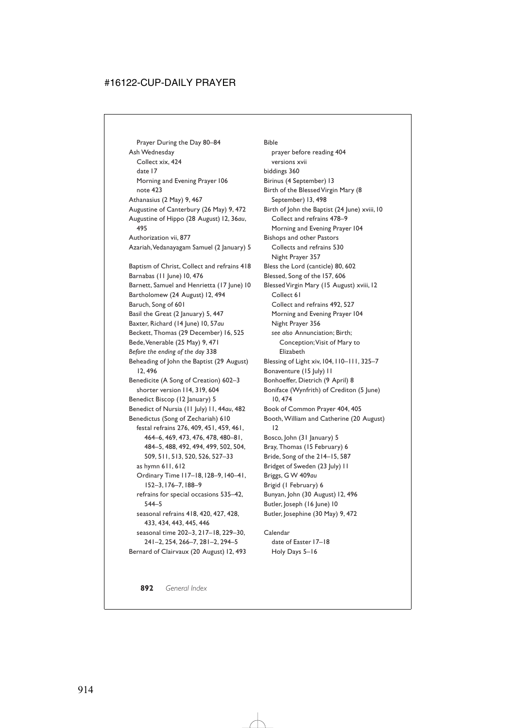Prayer During the Day 80–84 Ash Wednesday Collect xix, 424 date 17 Morning and Evening Prayer 106 note 423 Athanasius (2 May) 9, 467 Augustine of Canterbury (26 May) 9, 472 Augustine of Hippo (28 August) 12, 36*au*, 495 Authorization vii, 877 Azariah,Vedanayagam Samuel (2 January) 5 Baptism of Christ, Collect and refrains 418 Barnabas (11 June) 10, 476 Barnett, Samuel and Henrietta (17 June) 10 Bartholomew (24 August) 12, 494 Baruch, Song of 601 Basil the Great (2 January) 5, 447 Baxter, Richard (14 June) 10, 57*au* Beckett, Thomas (29 December) 16, 525 Bede,Venerable (25 May) 9, 471 *Before the ending of the day* 338 Beheading of John the Baptist (29 August) 12, 496 Benedicite (A Song of Creation) 602–3 shorter version 114, 319, 604 Benedict Biscop (12 January) 5 Benedict of Nursia (11 July) 11, 44*au*, 482 Benedictus (Song of Zechariah) 610 festal refrains 276, 409, 451, 459, 461, 464–6, 469, 473, 476, 478, 480–81, 484–5, 488, 492, 494, 499, 502, 504, 509, 511, 513, 520, 526, 527–33 as hymn 611, 612 Ordinary Time 117–18,128–9,140–41, 152–3,176–7,188–9 refrains for special occasions 535–42, 544–5 seasonal refrains 418, 420, 427, 428, 433, 434, 443, 445, 446 seasonal time 202–3, 217–18, 229–30, 241–2, 254, 266–7, 281–2, 294–5 Bernard of Clairvaux (20 August) 12, 493

Bible prayer before reading 404 versions xvii biddings 360 Birinus (4 September) 13 Birth of the Blessed Virgin Mary (8 September) 13, 498 Birth of John the Baptist (24 June) xviii,10 Collect and refrains 478–9 Morning and Evening Prayer 104 Bishops and other Pastors Collects and refrains 530 Night Prayer 357 Bless the Lord (canticle) 80, 602 Blessed, Song of the 157, 606 Blessed Virgin Mary (15 August) xviii,12 Collect 61 Collect and refrains 492, 527 Morning and Evening Prayer 104 Night Prayer 356 *see also* Annunciation; Birth; Conception;Visit of Mary to Elizabeth Blessing of Light xiv, 104, 110–111, 325–7 Bonaventure (15 July) II Bonhoeffer, Dietrich (9 April) 8 Boniface (Wynfrith) of Crediton (5 June) 10, 474 Book of Common Prayer 404, 405 Booth, William and Catherine (20 August) 12 Bosco, John (31 January) 5 Bray, Thomas (15 February) 6 Bride, Song of the 214–15, 587 Bridget of Sweden (23 July) 11 Briggs, G W 409*au* Brigid (1 February) 6 Bunyan, John (30 August) 12, 496 Butler, Joseph (16 June) 10 Butler, Josephine (30 May) 9, 472

Calendar date of Easter 17–18 Holy Days 5–16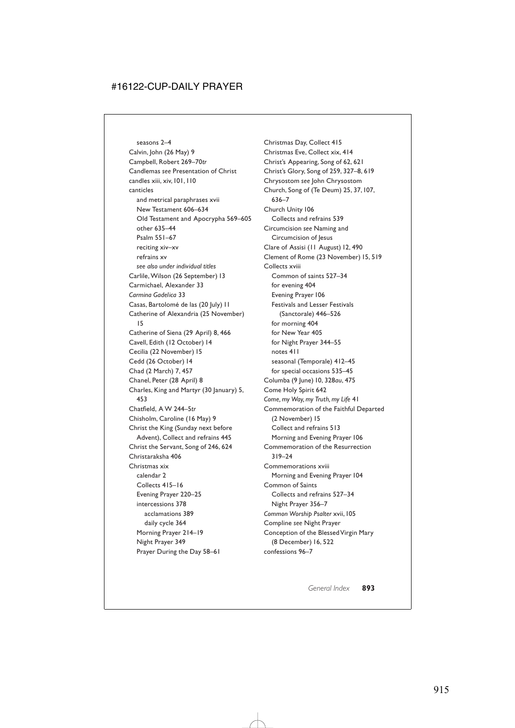seasons 2–4 Calvin, John (26 May) 9 Campbell, Robert 269–70*tr* Candlemas *see* Presentation of Christ candles xiii, xiv,101,110 canticles and metrical paraphrases xvii New Testament 606–634 Old Testament and Apocrypha 569–605 other 635–44 Psalm 551–67 reciting xiv–xv refrains xv *see also under individual titles* Carlile, Wilson (26 September) 13 Carmichael, Alexander 33 *Carmina Gadelica* 33 Casas, Bartolomé de las (20 July) 11 Catherine of Alexandria (25 November) 15 Catherine of Siena (29 April) 8, 466 Cavell, Edith (12 October) 14 Cecilia (22 November) 15 Cedd (26 October) 14 Chad (2 March) 7, 457 Chanel, Peter (28 April) 8 Charles, King and Martyr (30 January) 5, 453 Chatfield, A W 244–5*tr* Chisholm, Caroline (16 May) 9 Christ the King (Sunday next before Advent), Collect and refrains 445 Christ the Servant, Song of 246, 624 Christaraksha 406 Christmas xix calendar 2 Collects 415–16 Evening Prayer 220–25 intercessions 378 acclamations 389 daily cycle 364 Morning Prayer 214–19 Night Prayer 349 Prayer During the Day 58–61

Christmas Day, Collect 415 Christmas Eve, Collect xix, 414 Christ's Appearing, Song of 62, 621 Christ's Glory, Song of 259, 327–8, 619 Chrysostom *see* John Chrysostom Church, Song of (Te Deum) 25, 37,107, 636–7 Church Unity 106 Collects and refrains 539 Circumcision *see* Naming and Circumcision of Jesus Clare of Assisi (11 August) 12, 490 Clement of Rome (23 November) 15, 519 Collects xviii Common of saints 527–34 for evening 404 Evening Prayer 106 Festivals and Lesser Festivals (Sanctorale) 446–526 for morning 404 for New Year 405 for Night Prayer 344–55 notes 411 seasonal (Temporale) 412–45 for special occasions 535–45 Columba (9 June) 10, 328*au*, 475 Come Holy Spirit 642 *Come, my Way, my Truth, my Life* 41 Commemoration of the Faithful Departed (2 November) 15 Collect and refrains 513 Morning and Evening Prayer 106 Commemoration of the Resurrection 319–24 Commemorations xviii Morning and Evening Prayer 104 Common of Saints Collects and refrains 527–34 Night Prayer 356–7 *Common Worship Psalter* xvii,105 Compline *see* Night Prayer Conception of the Blessed Virgin Mary (8 December) 16, 522 confessions 96–7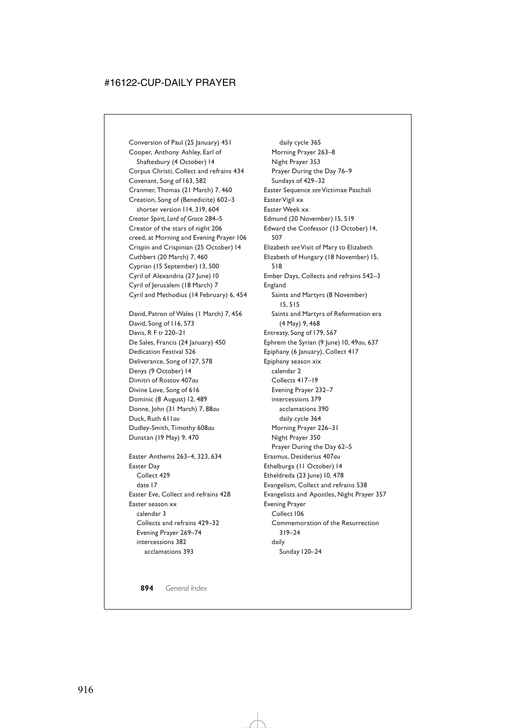Conversion of Paul (25 January) 451 Cooper, Anthony Ashley, Earl of Shaftesbury (4 October) 14 Corpus Christi, Collect and refrains 434 Covenant, Song of 163, 582 Cranmer, Thomas (21 March) 7, 460 Creation, Song of (Benedicite) 602–3 shorter version 114, 319, 604 *Creator Spirit, Lord of Grace* 284–5 Creator of the stars of night 206 creed, at Morning and Evening Prayer 106 Crispin and Crispinian (25 October) 14 Cuthbert (20 March) 7, 460 Cyprian (15 September) 13, 500 Cyril of Alexandria (27 June) 10 Cyril of Jerusalem (18 March) 7 Cyril and Methodius (14 February) 6, 454

David, Patron of Wales (1 March) 7, 456 David, Song of 116, 573 Davis, R F *tr* 220–21 De Sales, Francis (24 January) 450 Dedication Festival 526 Deliverance, Song of 127, 578 Denys (9 October) 14 Dimitri of Rostov 407*au* Divine Love, Song of 616 Dominic (8 August) 12, 489 Donne, John (31 March) 7, 88*au* Duck, Ruth 611*au* Dudley-Smith, Timothy 608*au* Dunstan (19 May) 9, 470

Easter Anthems 263–4, 323, 634 Easter Day Collect 429 date 17 Easter Eve, Collect and refrains 428 Easter season xx calendar 3 Collects and refrains 429–32 Evening Prayer 269–74 intercessions 382 acclamations 393

daily cycle 365 Morning Prayer 263–8 Night Prayer 353 Prayer During the Day 76–9 Sundays of 429–32 Easter Sequence *see*Victimae Paschali EasterVigil xx Easter Week xx Edmund (20 November) 15, 519 Edward the Confessor (13 October) 14, 507 Elizabeth *see*Visit of Mary to Elizabeth Elizabeth of Hungary (18 November) 15, 518 Ember Days, Collects and refrains 542–3 England Saints and Martyrs (8 November) 15, 515 Saints and Martyrs of Reformation era (4 May) 9, 468 Entreaty, Song of 179, 567 Ephrem the Syrian (9 June) 10, 49*au*, 637 Epiphany (6 January), Collect 417 Epiphany season xix calendar 2 Collects 417–19 Evening Prayer 232–7 intercessions 379 acclamations 390 daily cycle 364 Morning Prayer 226–31 Night Prayer 350 Prayer During the Day 62–5 Erasmus, Desiderius 407*au* Ethelburga (11 October) 14 Etheldreda (23 June) 10, 478 Evangelism, Collect and refrains 538 Evangelists and Apostles, Night Prayer 357 Evening Prayer Collect 106 Commemoration of the Resurrection 319–24 daily Sunday 120–24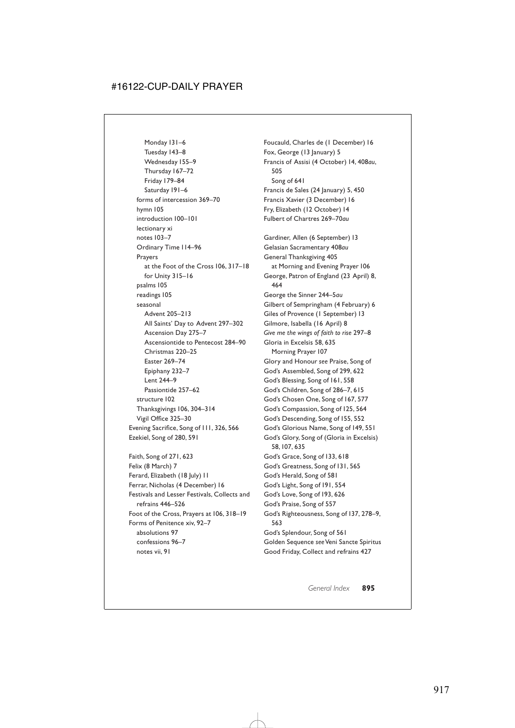Monday 131–6 Tuesday 143–8 Wednesday 155–9 Thursday 167–72 Friday 179–84 Saturday 191–6 forms of intercession 369–70 hymn 105 introduction 100–101 lectionary xi notes 103–7 Ordinary Time 114–96 Prayers at the Foot of the Cross 106, 317–18 for Unity 315–16 psalms 105 readings 105 seasonal Advent 205–213 All Saints' Day to Advent 297–302 Ascension Day 275–7 Ascensiontide to Pentecost 284–90 Christmas 220–25 Easter 269–74 Epiphany 232–7 Lent 244–9 Passiontide 257–62 structure 102 Thanksgivings 106, 304–314 Vigil Office 325–30 Evening Sacrifice, Song of 111, 326, 566 Ezekiel, Song of 280, 591 Faith, Song of 271, 623 Felix (8 March) 7 Ferard, Elizabeth (18 July) 11 Ferrar, Nicholas (4 December) 16 Festivals and Lesser Festivals, Collects and refrains 446–526 Foot of the Cross, Prayers at 106, 318–19 Forms of Penitence xiv, 92–7 absolutions 97 confessions 96–7 notes vii, 91

Foucauld, Charles de (1 December) 16 Fox, George (13 January) 5 Francis of Assisi (4 October) 14, 408*au*, 505 Song of 641 Francis de Sales (24 January) 5, 450 Francis Xavier (3 December) 16 Fry, Elizabeth (12 October) 14 Fulbert of Chartres 269–70*au* Gardiner, Allen (6 September) 13 Gelasian Sacramentary 408*au* General Thanksgiving 405 at Morning and Evening Prayer 106 George, Patron of England (23 April) 8, 464 George the Sinner 244–5*au* Gilbert of Sempringham (4 February) 6 Giles of Provence (1 September) 13 Gilmore, Isabella (16 April) 8 *Give me the wings of faith to rise* 297–8 Gloria in Excelsis 58, 635 Morning Prayer 107 Glory and Honour *see* Praise, Song of God's Assembled, Song of 299, 622 God's Blessing, Song of 161, 558 God's Children, Song of 286–7, 615 God's Chosen One, Song of 167, 577 God's Compassion, Song of 125, 564 God's Descending, Song of 155, 552 God's Glorious Name, Song of 149, 551 God's Glory, Song of (Gloria in Excelsis) 58,107, 635 God's Grace, Song of 133, 618 God's Greatness, Song of 131, 565 God's Herald, Song of 581 God's Light, Song of 191, 554 God's Love, Song of 193, 626 God's Praise, Song of 557 God's Righteousness, Song of 137, 278–9, 563 God's Splendour, Song of 561 Golden Sequence *see*Veni Sancte Spiritus Good Friday, Collect and refrains 427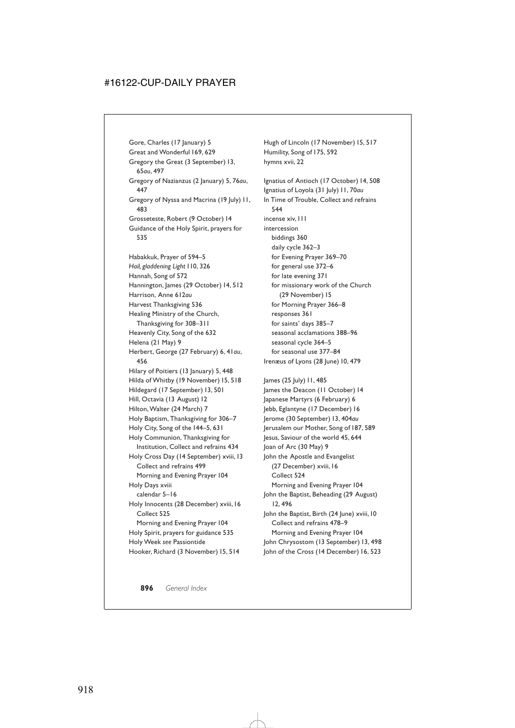Gore, Charles (17 January) 5 Great and Wonderful 169, 629 Gregory the Great (3 September) 13, 65*au*, 497 Gregory of Nazianzus (2 January) 5, 76*au*, 447 Gregory of Nyssa and Macrina (19 July) 11, 483 Grosseteste, Robert (9 October) 14 Guidance of the Holy Spirit, prayers for 535

Habakkuk, Prayer of 594–5 *Hail, gladdening Light* 110, 326 Hannah, Song of 572 Hannington, James (29 October) 14, 512 Harrison, Anne 612*au* Harvest Thanksgiving 536 Healing Ministry of the Church, Thanksgiving for 308–311 Heavenly City, Song of the 632 Helena (21 May) 9 Herbert, George (27 February) 6, 41*au*, 456 Hilary of Poitiers (13 January) 5, 448 Hilda of Whitby (19 November) 15, 518 Hildegard (17 September) 13, 501 Hill, Octavia (13 August) 12 Hilton, Walter (24 March) 7 Holy Baptism, Thanksgiving for 306–7 Holy City, Song of the 144–5, 631 Holy Communion, Thanksgiving for Institution, Collect and refrains 434 Holy Cross Day (14 September) xviii,13 Collect and refrains 499 Morning and Evening Prayer 104 Holy Days xviii calendar 5–16 Holy Innocents (28 December) xviii, 16 Collect 525 Morning and Evening Prayer 104 Holy Spirit, prayers for guidance 535 Holy Week *see* Passiontide Hooker, Richard (3 November) 15, 514

Hugh of Lincoln (17 November) 15, 517 Humility, Song of 175, 592 hymns xvii, 22 Ignatius of Antioch (17 October) 14, 508 Ignatius of Loyola (31 July) 11, 70*au* In Time of Trouble, Collect and refrains 544 incense xiv,111 intercession biddings 360 daily cycle 362–3 for Evening Prayer 369–70 for general use 372–6 for late evening 371 for missionary work of the Church (29 November) 15 for Morning Prayer 366–8 responses 361 for saints' days 385–7 seasonal acclamations 388–96 seasonal cycle 364–5 for seasonal use 377–84 Irenæus of Lyons (28 June) 10, 479

James (25 July) 11, 485 James the Deacon (11 October) 14 Japanese Martyrs (6 February) 6 Jebb, Eglantyne (17 December) 16 Jerome (30 September) 13, 404*au* Jerusalem our Mother, Song of 187, 589 Jesus, Saviour of the world 45, 644 Joan of Arc (30 May) 9 John the Apostle and Evangelist (27 December) xviii,16 Collect 524 Morning and Evening Prayer 104 John the Baptist, Beheading (29 August) 12, 496 John the Baptist, Birth (24 June) xviii, 10 Collect and refrains 478–9 Morning and Evening Prayer 104 John Chrysostom (13 September) 13, 498 John of the Cross (14 December) 16, 523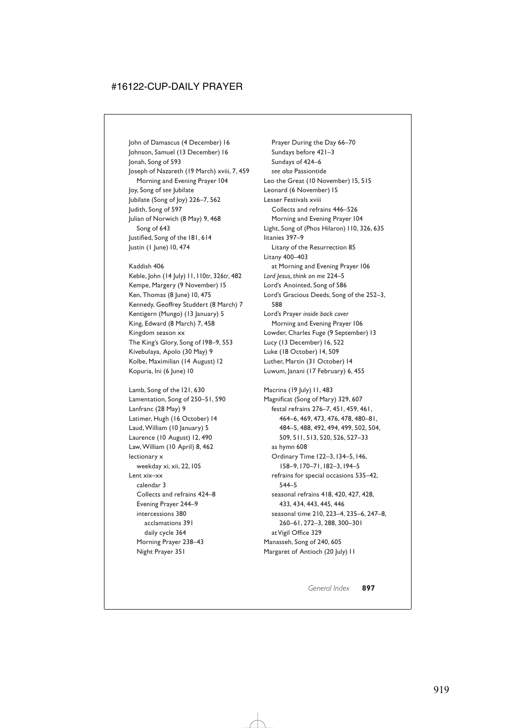John of Damascus (4 December) 16 Johnson, Samuel (13 December) 16 Jonah, Song of 593 Joseph of Nazareth (19 March) xviii, 7, 459 Morning and Evening Prayer 104 Joy, Song of *see* Jubilate Jubilate (Song of Joy) 226–7, 562 Judith, Song of 597 Julian of Norwich (8 May) 9, 468 Song of 643 Justified, Song of the 181, 614 Justin (1 June) 10, 474

Kaddish 406 Keble, John (14 July) 11,110*tr*, 326*tr*, 482 Kempe, Margery (9 November) 15 Ken, Thomas (8 June) 10, 475 Kennedy, Geoffrey Studdert (8 March) 7 Kentigern (Mungo) (13 January) 5 King, Edward (8 March) 7, 458 Kingdom season xx The King's Glory, Song of 198–9, 553 Kivebulaya, Apolo (30 May) 9 Kolbe, Maximilian (14 August) 12 Kopuria, Ini (6 June) 10

Lamb, Song of the 121, 630 Lamentation, Song of 250–51, 590 Lanfranc (28 May) 9 Latimer, Hugh (16 October) 14 Laud, William (10 January) 5 Laurence (10 August) 12, 490 Law, William (10 April) 8, 462 lectionary x weekday xi, xii, 22,105 Lent xix–xx calendar 3 Collects and refrains 424–8 Evening Prayer 244–9 intercessions 380 acclamations 391 daily cycle 364 Morning Prayer 238–43 Night Prayer 351

Prayer During the Day 66–70 Sundays before 421–3 Sundays of 424–6 *see also* Passiontide Leo the Great (10 November) 15, 515 Leonard (6 November) 15 Lesser Festivals xviii Collects and refrains 446–526 Morning and Evening Prayer 104 Light, Song of (Phos Hilaron) 110, 326, 635 litanies 397–9 Litany of the Resurrection 85 Litany 400–403 at Morning and Evening Prayer 106 *Lord Jesus, think on me* 224–5 Lord's Anointed, Song of 586 Lord's Gracious Deeds, Song of the 252–3, 588 Lord's Prayer *inside back cover* Morning and Evening Prayer 106 Lowder, Charles Fuge (9 September) 13 Lucy (13 December) 16, 522 Luke (18 October) 14, 509 Luther, Martin (31 October) 14 Luwum, Janani (17 February) 6, 455

Macrina (19 July) 11, 483 Magnificat (Song of Mary) 329, 607 festal refrains 276–7, 451, 459, 461, 464–6, 469, 473, 476, 478, 480–81, 484–5, 488, 492, 494, 499, 502, 504, 509, 511, 513, 520, 526, 527–33 as hymn 608 Ordinary Time 122–3,134–5,146, 158–9,170–71,182–3,194–5 refrains for special occasions 535–42, 544–5 seasonal refrains 418, 420, 427, 428, 433, 434, 443, 445, 446 seasonal time 210, 223–4, 235–6, 247–8, 260–61, 272–3, 288, 300–301 at Vigil Office 329 Manasseh, Song of 240, 605 Margaret of Antioch (20 July) 11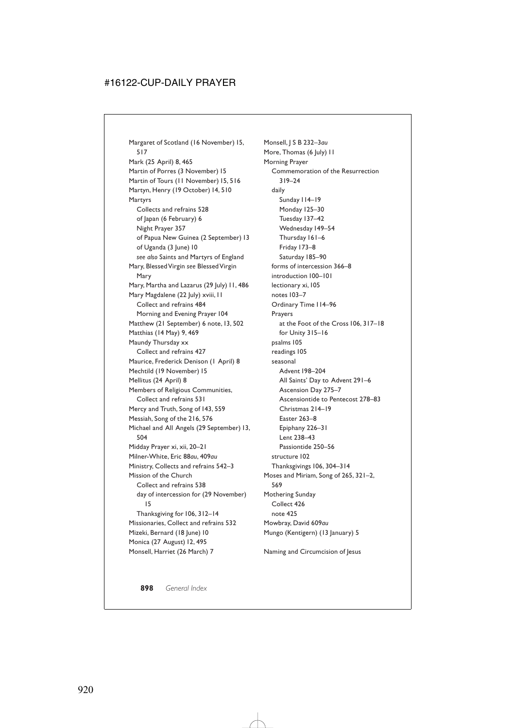Margaret of Scotland (16 November) 15, 517 Mark (25 April) 8, 465 Martin of Porres (3 November) 15 Martin of Tours (11 November) 15, 516 Martyn, Henry (19 October) 14, 510 Martyrs Collects and refrains 528 of Japan (6 February) 6 Night Prayer 357 of Papua New Guinea (2 September) 13 of Uganda (3 June) 10 *see also* Saints and Martyrs of England Mary, Blessed Virgin *see* Blessed Virgin Mary Mary, Martha and Lazarus (29 July) 11, 486 Mary Magdalene (22 July) xviii, II Collect and refrains 484 Morning and Evening Prayer 104 Matthew (21 September) 6 note, 13, 502 Matthias (14 May) 9, 469 Maundy Thursday xx Collect and refrains 427 Maurice, Frederick Denison (1 April) 8 Mechtild (19 November) 15 Mellitus (24 April) 8 Members of Religious Communities, Collect and refrains 531 Mercy and Truth, Song of 143, 559 Messiah, Song of the 216, 576 Michael and All Angels (29 September) 13, 504 Midday Prayer xi, xii, 20–21 Milner-White, Eric 88*au*, 409*au* Ministry, Collects and refrains 542–3 Mission of the Church Collect and refrains 538 day of intercession for (29 November) 15 Thanksgiving for 106, 312–14 Missionaries, Collect and refrains 532 Mizeki, Bernard (18 June) 10 Monica (27 August) 12, 495 Monsell, Harriet (26 March) 7

Monsell, J S B 232–3*au* More, Thomas (6 July) 11 Morning Prayer Commemoration of the Resurrection 319–24 daily Sunday 114–19 Monday 125–30 Tuesday 137–42 Wednesday 149–54 Thursday 161–6 Friday 173–8 Saturday 185–90 forms of intercession 366–8 introduction 100–101 lectionary xi,105 notes 103–7 Ordinary Time 114–96 Prayers at the Foot of the Cross 106, 317–18 for Unity 315–16 psalms 105 readings 105 seasonal Advent 198–204 All Saints' Day to Advent 291–6 Ascension Day 275–7 Ascensiontide to Pentecost 278–83 Christmas 214–19 Easter 263–8 Epiphany 226–31 Lent 238–43 Passiontide 250–56 structure 102 Thanksgivings 106, 304–314 Moses and Miriam, Song of 265, 321–2, 569 Mothering Sunday Collect 426 note 425 Mowbray, David 609*au* Mungo (Kentigern) (13 January) 5 Naming and Circumcision of Jesus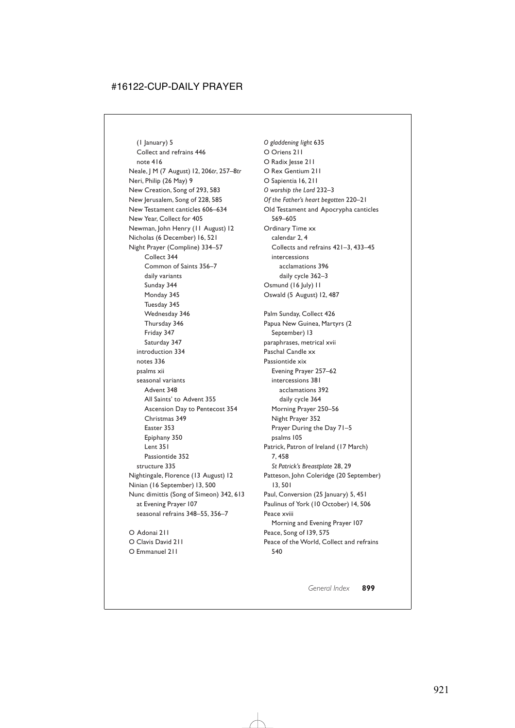(1 January) 5 Collect and refrains 446 note 416 Neale, J M (7 August) 12, 206*tr*, 257–8*tr* Neri, Philip (26 May) 9 New Creation, Song of 293, 583 New Jerusalem, Song of 228, 585 New Testament canticles 606–634 New Year, Collect for 405 Newman, John Henry (11 August) 12 Nicholas (6 December) 16, 521 Night Prayer (Compline) 334–57 Collect 344 Common of Saints 356–7 daily variants Sunday 344 Monday 345 Tuesday 345 Wednesday 346 Thursday 346 Friday 347 Saturday 347 introduction 334 notes 336 psalms xii seasonal variants Advent 348 All Saints' to Advent 355 Ascension Day to Pentecost 354 Christmas 349 Easter 353 Epiphany 350 Lent 351 Passiontide 352 structure 335 Nightingale, Florence (13 August) 12 Ninian (16 September) 13, 500 Nunc dimittis (Song of Simeon) 342, 613 at Evening Prayer 107 seasonal refrains 348–55, 356–7 O Adonai 211

O Clavis David 211 O Emmanuel 211

*O gladdening light* 635 O Oriens 211 O Radix lesse 211 O Rex Gentium 211 O Sapientia 16, 211 *O worship the Lord* 232–3 *Of the Father's heart begotten* 220–21 Old Testament and Apocrypha canticles 569–605 Ordinary Time xx calendar 2, 4 Collects and refrains 421–3, 433–45 intercessions acclamations 396 daily cycle 362–3 Osmund (16 July) II Oswald (5 August) 12, 487 Palm Sunday, Collect 426 Papua New Guinea, Martyrs (2 September) 13 paraphrases, metrical xvii Paschal Candle xx Passiontide xix Evening Prayer 257–62 intercessions 381 acclamations 392 daily cycle 364 Morning Prayer 250–56 Night Prayer 352 Prayer During the Day 71–5 psalms 105 Patrick, Patron of Ireland (17 March) 7, 458 *St Patrick's Breastplate* 28, 29 Patteson, John Coleridge (20 September) 13, 501 Paul, Conversion (25 January) 5, 451 Paulinus of York (10 October) 14, 506 Peace xviii Morning and Evening Prayer 107 Peace, Song of 139, 575 Peace of the World, Collect and refrains 540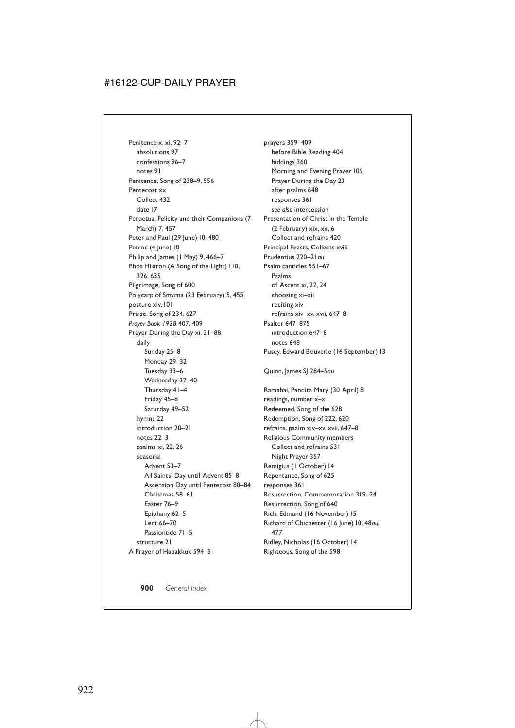Penitence x, xi, 92–7 absolutions 97 confessions 96–7 notes 91 Penitence, Song of 238–9, 556 Pentecost xx Collect 432 date 17 Perpetua, Felicity and their Companions (7 March) 7, 457 Peter and Paul (29 June) 10, 480 Petroc (4 June) 10 Philip and James (1 May) 9, 466-7 Phos Hilaron (A Song of the Light) 110, 326, 635 Pilgrimage, Song of 600 Polycarp of Smyrna (23 February) 5, 455 posture xiv,101 Praise, Song of 234, 627 *Prayer Book 1928* 407, 409 Prayer During the Day xi, 21–88 daily Sunday 25–8 Monday 29–32 Tuesday 33–6 Wednesday 37–40 Thursday 41–4 Friday 45–8 Saturday 49–52 hymns 22 introduction 20–21 notes 22–3 psalms xi, 22, 26 seasonal Advent 53–7 All Saints' Day until Advent 85–8 Ascension Day until Pentecost 80–84 Christmas 58–61 Easter 76–9 Epiphany 62–5 Lent 66–70 Passiontide 71–5 structure 21 A Prayer of Habakkuk 594–5

prayers 359–409 before Bible Reading 404 biddings 360 Morning and Evening Prayer 106 Prayer During the Day 23 after psalms 648 responses 361 *see also* intercession Presentation of Christ in the Temple (2 February) xix, xx, 6 Collect and refrains 420 Principal Feasts, Collects xviii Prudentius 220–21*au* Psalm canticles 551–67 Psalms of Ascent xi, 22, 24 choosing xi–xii reciting xiv refrains xiv–xv, xvii, 647–8 Psalter 647–875 introduction 647–8 notes 648 Pusey, Edward Bouverie (16 September) 13 Quinn, James SJ 284–5*au* Ramabai, Pandita Mary (30 April) 8 readings, number x–xi Redeemed, Song of the 628 Redemption, Song of 222, 620 refrains, psalm xiv–xv, xvii, 647–8 Religious Community members Collect and refrains 531 Night Prayer 357 Remigius (1 October) 14 Repentance, Song of 625 responses 361 Resurrection, Commemoration 319–24 Resurrection, Song of 640 Rich, Edmund (16 November) 15 Richard of Chichester (16 June) 10, 48*au*, 477 Ridley, Nicholas (16 October) 14 Righteous, Song of the 598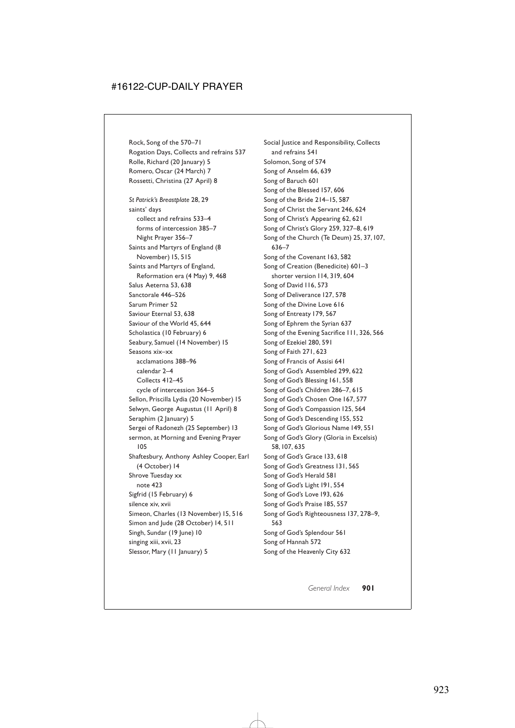Rock, Song of the 570–71 Rogation Days, Collects and refrains 537 Rolle, Richard (20 January) 5 Romero, Oscar (24 March) 7 Rossetti, Christina (27 April) 8 *St Patrick's Breastplate* 28, 29 saints' days collect and refrains 533–4 forms of intercession 385–7 Night Prayer 356–7 Saints and Martyrs of England (8 November) 15, 515 Saints and Martyrs of England, Reformation era (4 May) 9, 468 Salus Aeterna 53, 638 Sanctorale 446–526 Sarum Primer 52 Saviour Eternal 53, 638 Saviour of the World 45, 644 Scholastica (10 February) 6 Seabury, Samuel (14 November) 15 Seasons xix–xx acclamations 388–96 calendar 2–4 Collects 412–45 cycle of intercession 364–5 Sellon, Priscilla Lydia (20 November) 15 Selwyn, George Augustus (11 April) 8 Seraphim (2 January) 5 Sergei of Radonezh (25 September) 13 sermon, at Morning and Evening Prayer 105 Shaftesbury, Anthony Ashley Cooper, Earl (4 October) 14 Shrove Tuesday xx note 423 Sigfrid (15 February) 6 silence xiv, xvii Simeon, Charles (13 November) 15, 516 Simon and Jude (28 October) 14, 511 Singh, Sundar (19 June) 10 singing xiii, xvii, 23 Slessor, Mary (11 January) 5

Social Justice and Responsibility, Collects and refrains 541 Solomon, Song of 574 Song of Anselm 66, 639 Song of Baruch 601 Song of the Blessed 157, 606 Song of the Bride 214–15, 587 Song of Christ the Servant 246, 624 Song of Christ's Appearing 62, 621 Song of Christ's Glory 259, 327–8, 619 Song of the Church (Te Deum) 25, 37,107, 636–7 Song of the Covenant 163, 582 Song of Creation (Benedicite) 601–3 shorter version 114, 319, 604 Song of David 116, 573 Song of Deliverance 127, 578 Song of the Divine Love 616 Song of Entreaty 179, 567 Song of Ephrem the Syrian 637 Song of the Evening Sacrifice 111, 326, 566 Song of Ezekiel 280, 591 Song of Faith 271, 623 Song of Francis of Assisi 641 Song of God's Assembled 299, 622 Song of God's Blessing 161, 558 Song of God's Children 286–7, 615 Song of God's Chosen One 167, 577 Song of God's Compassion 125, 564 Song of God's Descending 155, 552 Song of God's Glorious Name 149, 551 Song of God's Glory (Gloria in Excelsis) 58,107, 635 Song of God's Grace 133, 618 Song of God's Greatness 131, 565 Song of God's Herald 581 Song of God's Light 191, 554 Song of God's Love 193, 626 Song of God's Praise 185, 557 Song of God's Righteousness 137, 278–9, 563 Song of God's Splendour 561 Song of Hannah 572 Song of the Heavenly City 632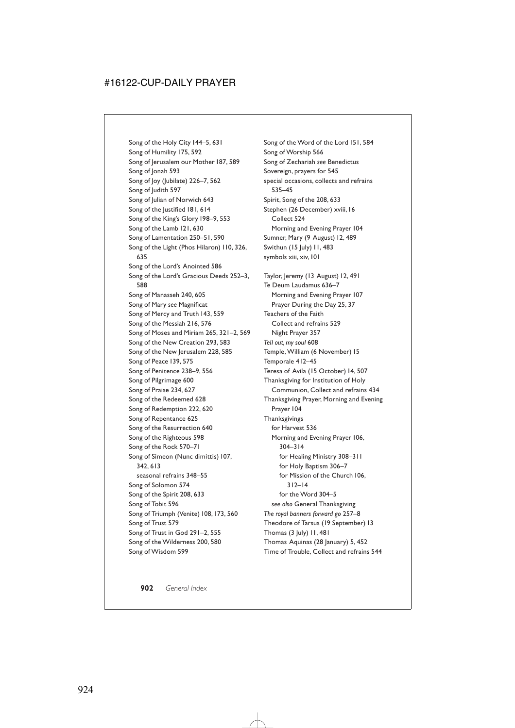Song of the Holy City 144–5, 631 Song of Humility 175, 592 Song of Jerusalem our Mother 187, 589 Song of Jonah 593 Song of Joy (Jubilate) 226–7, 562 Song of Judith 597 Song of Julian of Norwich 643 Song of the Justified 181, 614 Song of the King's Glory 198–9, 553 Song of the Lamb 121, 630 Song of Lamentation 250–51, 590 Song of the Light (Phos Hilaron) 110, 326, 635 Song of the Lord's Anointed 586 Song of the Lord's Gracious Deeds 252–3, 588 Song of Manasseh 240, 605 Song of Mary *see* Magnificat Song of Mercy and Truth 143, 559 Song of the Messiah 216, 576 Song of Moses and Miriam 265, 321–2, 569 Song of the New Creation 293, 583 Song of the New Jerusalem 228, 585 Song of Peace 139, 575 Song of Penitence 238–9, 556 Song of Pilgrimage 600 Song of Praise 234, 627 Song of the Redeemed 628 Song of Redemption 222, 620 Song of Repentance 625 Song of the Resurrection 640 Song of the Righteous 598 Song of the Rock 570–71 Song of Simeon (Nunc dimittis) 107, 342, 613 seasonal refrains 348–55 Song of Solomon 574 Song of the Spirit 208, 633 Song of Tobit 596 Song of Triumph (Venite) 108,173, 560 Song of Trust 579 Song of Trust in God 291–2, 555 Song of the Wilderness 200, 580 Song of Wisdom 599

Song of the Word of the Lord 151, 584 Song of Worship 566 Song of Zechariah *see* Benedictus Sovereign, prayers for 545 special occasions, collects and refrains 535–45 Spirit, Song of the 208, 633 Stephen (26 December) xviii, 16 Collect 524 Morning and Evening Prayer 104 Sumner, Mary (9 August) 12, 489 Swithun (15 July) 11, 483 symbols xiii, xiv,101 Taylor, Jeremy (13 August) 12, 491 Te Deum Laudamus 636–7 Morning and Evening Prayer 107 Prayer During the Day 25, 37 Teachers of the Faith Collect and refrains 529 Night Prayer 357 *Tell out, my soul* 608 Temple, William (6 November) 15 Temporale 412–45 Teresa of Avila (15 October) 14, 507 Thanksgiving for Institution of Holy Communion, Collect and refrains 434 Thanksgiving Prayer, Morning and Evening Prayer 104 Thanksgivings for Harvest 536 Morning and Evening Prayer 106, 304–314 for Healing Ministry 308–311 for Holy Baptism 306–7 for Mission of the Church 106, 312–14 for the Word 304–5 *see also* General Thanksgiving *The royal banners forward go* 257–8 Theodore of Tarsus (19 September) 13 Thomas (3 July) 11, 481 Thomas Aquinas (28 January) 5, 452 Time of Trouble, Collect and refrains 544